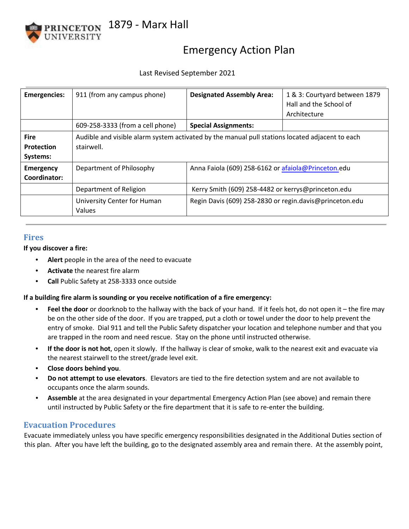

# Emergency Action Plan

### Last Revised September 2021

| <b>Emergencies:</b>                          | 911 (from any campus phone)                                                                                   | <b>Designated Assembly Area:</b>                        | 1 & 3: Courtyard between 1879<br>Hall and the School of<br>Architecture |
|----------------------------------------------|---------------------------------------------------------------------------------------------------------------|---------------------------------------------------------|-------------------------------------------------------------------------|
|                                              | 609-258-3333 (from a cell phone)                                                                              | <b>Special Assignments:</b>                             |                                                                         |
| <b>Fire</b><br><b>Protection</b><br>Systems: | Audible and visible alarm system activated by the manual pull stations located adjacent to each<br>stairwell. |                                                         |                                                                         |
| <b>Emergency</b><br>Coordinator:             | Department of Philosophy                                                                                      | Anna Faiola (609) 258-6162 or afaiola@Princeton.edu     |                                                                         |
|                                              | Department of Religion                                                                                        | Kerry Smith (609) 258-4482 or kerrys@princeton.edu      |                                                                         |
|                                              | University Center for Human<br>Values                                                                         | Regin Davis (609) 258-2830 or regin.davis@princeton.edu |                                                                         |

#### **Fires**

**If you discover a fire:** 

- **Alert** people in the area of the need to evacuate
- **Activate** the nearest fire alarm
- **Call** Public Safety at 258-3333 once outside

#### **If a building fire alarm is sounding or you receive notification of a fire emergency:**

- **Feel the door** or doorknob to the hallway with the back of your hand. If it feels hot, do not open it the fire may be on the other side of the door. If you are trapped, put a cloth or towel under the door to help prevent the entry of smoke. Dial 911 and tell the Public Safety dispatcher your location and telephone number and that you are trapped in the room and need rescue. Stay on the phone until instructed otherwise.
- **If the door is not hot**, open it slowly. If the hallway is clear of smoke, walk to the nearest exit and evacuate via the nearest stairwell to the street/grade level exit.
- **Close doors behind you**.
- **Do not attempt to use elevators**. Elevators are tied to the fire detection system and are not available to occupants once the alarm sounds.
- **Assemble** at the area designated in your departmental Emergency Action Plan (see above) and remain there until instructed by Public Safety or the fire department that it is safe to re-enter the building.

# **Evacuation Procedures**

Evacuate immediately unless you have specific emergency responsibilities designated in the Additional Duties section of this plan. After you have left the building, go to the designated assembly area and remain there. At the assembly point,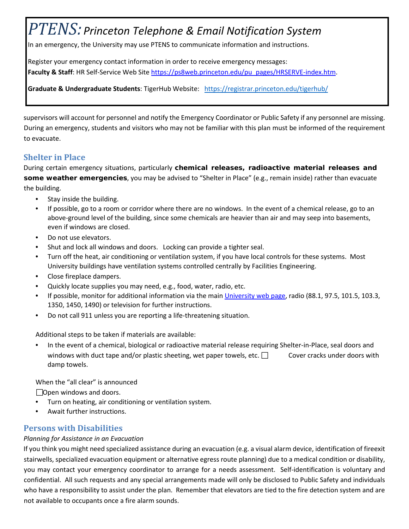# *PTENS: Princeton Telephone & Email Notification System*

In an emergency, the University may use PTENS to communicate information and instructions.

Register your emergency contact information in order to receive emergency messages: Faculty & Staff: HR Self-Service Web Site [https://ps8web.princeton.edu/pu\\_pages/HRSERVE-index.htm.](https://ps8web.princeton.edu/pu_pages/HRSERVE-index.htm)

**Graduate & Undergraduate Students**: TigerHub Website: <https://registrar.princeton.edu/tigerhub/>

supervisors will account for personnel and notify the Emergency Coordinator or Public Safety if any personnel are missing. During an emergency, students and visitors who may not be familiar with this plan must be informed of the requirement to evacuate.

# **Shelter in Place**

During certain emergency situations, particularly **chemical releases, radioactive material releases and some weather emergencies**, you may be advised to "Shelter in Place" (e.g., remain inside) rather than evacuate the building.

- Stay inside the building.
- If possible, go to a room or corridor where there are no windows. In the event of a chemical release, go to an above-ground level of the building, since some chemicals are heavier than air and may seep into basements, even if windows are closed.
- Do not use elevators.
- Shut and lock all windows and doors. Locking can provide a tighter seal.
- Turn off the heat, air conditioning or ventilation system, if you have local controls for these systems. Most University buildings have ventilation systems controlled centrally by Facilities Engineering.
- Close fireplace dampers.
- Quickly locate supplies you may need, e.g., food, water, radio, etc.
- If possible, monitor for additional information via the main [University web page,](http://www.princeton.edu/main) radio (88.1, 97.5, 101.5, 103.3, 1350, 1450, 1490) or television for further instructions.
- Do not call 911 unless you are reporting a life-threatening situation.

Additional steps to be taken if materials are available:

• In the event of a chemical, biological or radioactive material release requiring Shelter-in-Place, seal doors and windows with duct tape and/or plastic sheeting, wet paper towels, etc.  $\Box$  Cover cracks under doors with damp towels.

When the "all clear" is announced

□Open windows and doors.

- Turn on heating, air conditioning or ventilation system.
- Await further instructions.

# **Persons with Disabilities**

#### *Planning for Assistance in an Evacuation*

If you think you might need specialized assistance during an evacuation (e.g. a visual alarm device, identification of fireexit stairwells, specialized evacuation equipment or alternative egress route planning) due to a medical condition or disability, you may contact your emergency coordinator to arrange for a needs assessment. Self-identification is voluntary and confidential. All such requests and any special arrangements made will only be disclosed to Public Safety and individuals who have a responsibility to assist under the plan. Remember that elevators are tied to the fire detection system and are not available to occupants once a fire alarm sounds.